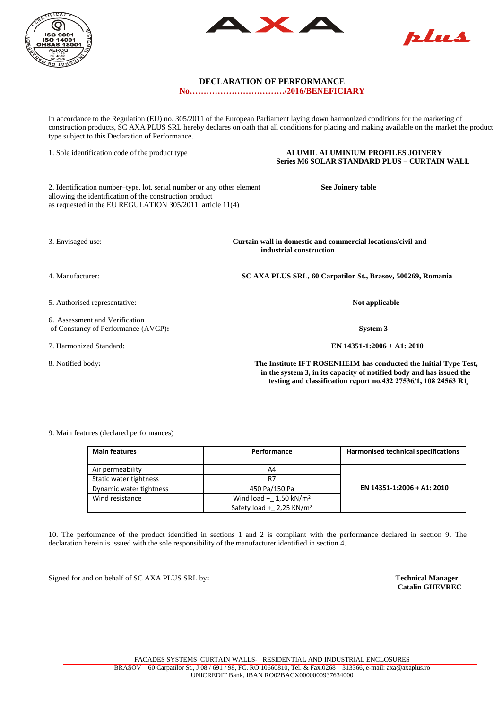



## **DECLARATION OF PERFORMANCE**

**No……………………………./2016/BENEFICIARY**

In accordance to the Regulation (EU) no. 305/2011 of the European Parliament laying down harmonized conditions for the marketing of construction products, SC AXA PLUS SRL hereby declares on oath that all conditions for placing and making available on the market the product type subject to this Declaration of Performance.

1. Sole identification code of the product type **ALUMIL ALUMINIUM PROFILES JOINERY Series M6 SOLAR STANDARD PLUS – CURTAIN WALL** 

2. Identification number–type, lot, serial number or any other element **See Joinery table** allowing the identification of the construction product as requested in the EU REGULATION 305/2011, article 11(4)

3. Envisaged use: **Curtain wall in domestic and commercial locations/civil and industrial construction** 

4. Manufacturer: **SC AXA PLUS SRL, 60 Carpatilor St., Brasov, 500269, Romania**

5. Authorised representative: **Not applicable**

6. Assessment and Verification of Constancy of Performance (AVCP)**: System 3**

7. Harmonized Standard: **EN 14351-1:2006 + A1: 2010**

8. Notified body**: The Institute IFT ROSENHEIM has conducted the Initial Type Test, in the system 3, in its capacity of notified body and has issued the** testing and classification report no.432 27536/1, 108 24563 R1

## 9. Main features (declared performances)

| <b>Main features</b>    | Performance                          | <b>Harmonised technical specifications</b> |
|-------------------------|--------------------------------------|--------------------------------------------|
| Air permeability        | A4                                   |                                            |
| Static water tightness  | R7                                   |                                            |
| Dynamic water tightness | 450 Pa/150 Pa                        | EN 14351-1:2006 + A1: 2010                 |
| Wind resistance         | Wind load + $1,50$ kN/m <sup>2</sup> |                                            |
|                         | Safety load + 2,25 KN/m <sup>2</sup> |                                            |

10. The performance of the product identified in sections 1 and 2 is compliant with the performance declared in section 9. The declaration herein is issued with the sole responsibility of the manufacturer identified in section 4.

Signed for and on behalf of SC AXA PLUS SRL by**: Technical Manager**

 **Catalin GHEVREC**